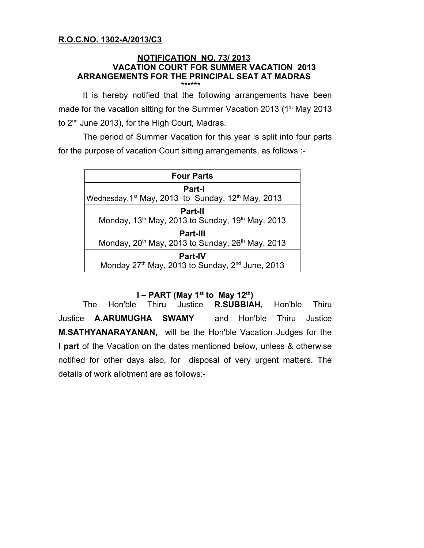## **R.O.C.NO. 1302-A/2013/C3**

#### **NOTIFICATION NO. 73/ 2013 VACATION COURT FOR SUMMER VACATION 2013 ARRANGEMENTS FOR THE PRINCIPAL SEAT AT MADRAS**  \*\*\*\*\*\*

It is hereby notified that the following arrangements have been made for the vacation sitting for the Summer Vacation 2013 (1<sup>st</sup> May 2013 to 2<sup>nd</sup> June 2013), for the High Court, Madras.

The period of Summer Vacation for this year is split into four parts for the purpose of vacation Court sitting arrangements, as follows :-

| <b>Four Parts</b>                                                          |
|----------------------------------------------------------------------------|
| Part-I                                                                     |
| Wednesday, 1 <sup>st</sup> May, 2013 to Sunday, 12 <sup>th</sup> May, 2013 |
| <b>Part-II</b>                                                             |
| Monday, 13 <sup>th</sup> May, 2013 to Sunday, 19 <sup>th</sup> May, 2013   |
| <b>Part-III</b>                                                            |
| Monday, 20 <sup>th</sup> May, 2013 to Sunday, 26 <sup>th</sup> May, 2013   |
| <b>Part-IV</b>                                                             |
| Monday 27 <sup>th</sup> May, 2013 to Sunday, 2 <sup>nd</sup> June, 2013    |

## **I** – **PART** (May 1<sup>st</sup> to May 12<sup>th</sup>)

The Hon'ble Thiru Justice **R.SUBBIAH,** Hon'ble Thiru Justice **A.ARUMUGHA SWAMY** and Hon'ble Thiru Justice **M.SATHYANARAYANAN,** will be the Hon'ble Vacation Judges for the **I part** of the Vacation on the dates mentioned below, unless & otherwise notified for other days also, for disposal of very urgent matters. The details of work allotment are as follows:-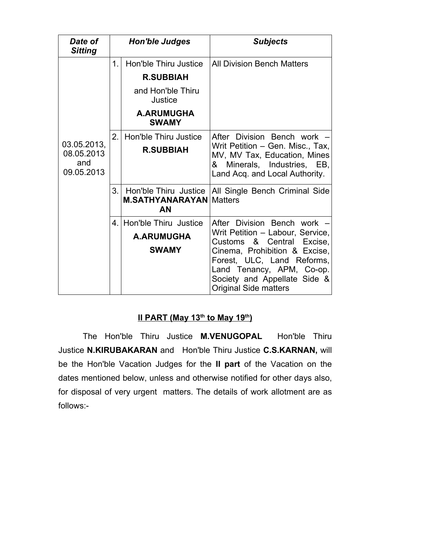| Date of<br><b>Sitting</b>                      | <b>Hon'ble Judges</b> |                                                               | <b>Subjects</b>                                                                                                                                                                                                                                          |
|------------------------------------------------|-----------------------|---------------------------------------------------------------|----------------------------------------------------------------------------------------------------------------------------------------------------------------------------------------------------------------------------------------------------------|
| 03.05.2013,<br>08.05.2013<br>and<br>09.05.2013 | 1.                    | Hon'ble Thiru Justice<br><b>R.SUBBIAH</b>                     | <b>All Division Bench Matters</b>                                                                                                                                                                                                                        |
|                                                |                       | and Hon'ble Thiru<br>Justice                                  |                                                                                                                                                                                                                                                          |
|                                                |                       | <b>A.ARUMUGHA</b><br><b>SWAMY</b>                             |                                                                                                                                                                                                                                                          |
|                                                | 2.                    | Hon'ble Thiru Justice<br><b>R.SUBBIAH</b>                     | After Division Bench work -<br>Writ Petition - Gen. Misc., Tax,<br>MV, MV Tax, Education, Mines<br>& Minerals, Industries, EB,<br>Land Acq. and Local Authority.                                                                                         |
|                                                | 3.                    | Hon'ble Thiru Justice<br><b>M.SATHYANARAYAN</b><br>AN         | All Single Bench Criminal Side<br><b>Matters</b>                                                                                                                                                                                                         |
|                                                |                       | 4. Hon'ble Thiru Justice<br><b>A.ARUMUGHA</b><br><b>SWAMY</b> | After Division Bench work -<br>Writ Petition - Labour, Service,<br>Customs & Central Excise,<br>Cinema, Prohibition & Excise,<br>Forest, ULC, Land Reforms,<br>Land Tenancy, APM, Co-op.<br>Society and Appellate Side &<br><b>Original Side matters</b> |

# <u>**II PART (May 13<sup>th</sup> to May 19<sup>th</sup>)</u></u>**

The Hon'ble Thiru Justice **M.VENUGOPAL** Hon'ble Thiru Justice **N.KIRUBAKARAN** and Hon'ble Thiru Justice **C.S.KARNAN,** will be the Hon'ble Vacation Judges for the **II part** of the Vacation on the dates mentioned below, unless and otherwise notified for other days also, for disposal of very urgent matters. The details of work allotment are as follows:-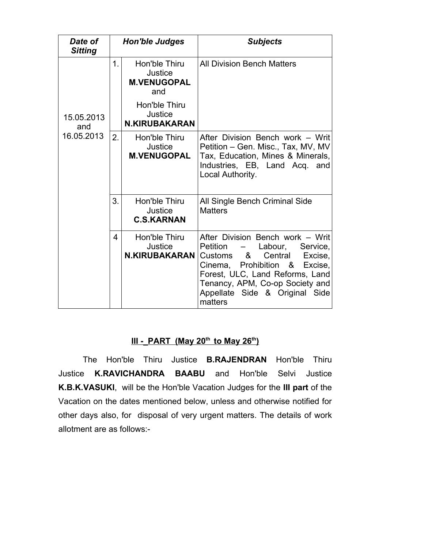| Date of<br><b>Sitting</b>       | <b>Hon'ble Judges</b> |                                                       | <b>Subjects</b>                                                                                                                                                                                                                                               |
|---------------------------------|-----------------------|-------------------------------------------------------|---------------------------------------------------------------------------------------------------------------------------------------------------------------------------------------------------------------------------------------------------------------|
|                                 | 1 <sub>1</sub>        | Hon'ble Thiru<br>Justice<br><b>M.VENUGOPAL</b><br>and | <b>All Division Bench Matters</b>                                                                                                                                                                                                                             |
| 15.05.2013<br>and<br>16.05.2013 |                       | Hon'ble Thiru<br>Justice<br><b>N.KIRUBAKARAN</b>      |                                                                                                                                                                                                                                                               |
|                                 | 2.                    | Hon'ble Thiru<br>Justice<br><b>M.VENUGOPAL</b>        | After Division Bench work - Writ<br>Petition - Gen. Misc., Tax, MV, MV<br>Tax, Education, Mines & Minerals,<br>Industries, EB, Land Acq. and<br>Local Authority.                                                                                              |
|                                 | 3.                    | Hon'ble Thiru<br>Justice<br><b>C.S.KARNAN</b>         | All Single Bench Criminal Side<br><b>Matters</b>                                                                                                                                                                                                              |
|                                 | 4                     | Hon'ble Thiru<br>Justice<br><b>N.KIRUBAKARAN</b>      | After Division Bench work - Writ<br>Petition<br>Labour,<br>Service,<br>Customs &<br>Central<br>Excise,<br>Cinema, Prohibition &<br>Excise,<br>Forest, ULC, Land Reforms, Land<br>Tenancy, APM, Co-op Society and<br>Appellate Side & Original Side<br>matters |

#### $III - PART$  (May 20<sup>th</sup> to May 26<sup>th</sup>)

The Hon'ble Thiru Justice **B.RAJENDRAN** Hon'ble Thiru Justice **K.RAVICHANDRA BAABU** and Hon'ble Selvi Justice **K.B.K.VASUKI**, will be the Hon'ble Vacation Judges for the **III part** of the Vacation on the dates mentioned below, unless and otherwise notified for other days also, for disposal of very urgent matters. The details of work allotment are as follows:-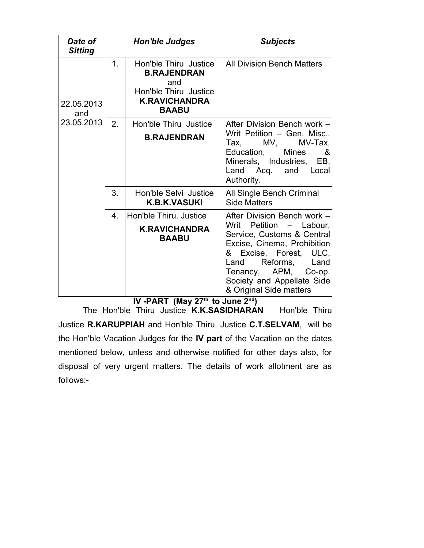| Date of<br><b>Sitting</b>       | <b>Hon'ble Judges</b> |                                                                                                                     | <b>Subjects</b>                                                                                                                                                                                                                                               |
|---------------------------------|-----------------------|---------------------------------------------------------------------------------------------------------------------|---------------------------------------------------------------------------------------------------------------------------------------------------------------------------------------------------------------------------------------------------------------|
| 22.05.2013<br>and<br>23.05.2013 | 1 <sub>1</sub>        | Hon'ble Thiru Justice<br><b>B.RAJENDRAN</b><br>and<br>Hon'ble Thiru Justice<br><b>K.RAVICHANDRA</b><br><b>BAABU</b> | <b>All Division Bench Matters</b>                                                                                                                                                                                                                             |
|                                 | 2.                    | Hon'ble Thiru Justice<br><b>B.RAJENDRAN</b>                                                                         | After Division Bench work -<br>Writ Petition - Gen. Misc.,<br>$MV,$ MV-Tax,<br>Tax.<br>Education,<br><b>Mines</b><br>&<br>Minerals, Industries, EB,<br>and Local<br>Land Acq.<br>Authority.                                                                   |
|                                 | 3.                    | Hon'ble Selvi Justice<br><b>K.B.K.VASUKI</b>                                                                        | All Single Bench Criminal<br><b>Side Matters</b>                                                                                                                                                                                                              |
|                                 | $\overline{4}$ .      | Hon'ble Thiru, Justice<br><b>K.RAVICHANDRA</b><br><b>BAABU</b>                                                      | After Division Bench work -<br>Petition - Labour,<br>Writ<br>Service, Customs & Central<br>Excise, Cinema, Prohibition<br>& Excise, Forest, ULC,<br>Reforms,<br>Land<br>Land<br>Tenancy, APM, Co-op.<br>Society and Appellate Side<br>& Original Side matters |

<u>**IV -PART (May 27<sup>th</sup> to June 2<sup>nd</sup>)</u></u>** The Hon'ble Thiru Justice **K.K.SASIDHARAN** Hon'ble Thiru Justice **R.KARUPPIAH** and Hon'ble Thiru. Justice **C.T.SELVAM**, will be the Hon'ble Vacation Judges for the **IV part** of the Vacation on the dates mentioned below, unless and otherwise notified for other days also, for disposal of very urgent matters. The details of work allotment are as follows:-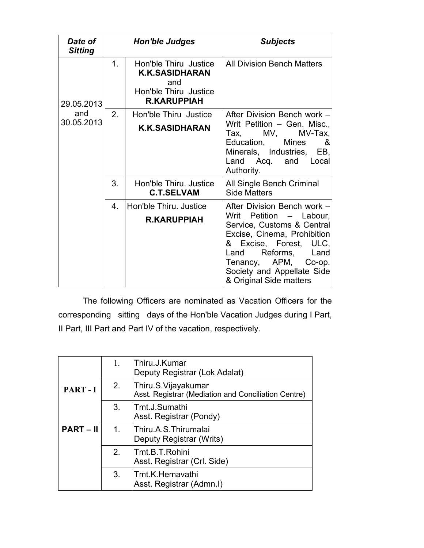| Date of<br><b>Sitting</b>       | <b>Hon'ble Judges</b> |                                                                                                      | <b>Subjects</b>                                                                                                                                                                                                                         |
|---------------------------------|-----------------------|------------------------------------------------------------------------------------------------------|-----------------------------------------------------------------------------------------------------------------------------------------------------------------------------------------------------------------------------------------|
| 29.05.2013<br>and<br>30.05.2013 | 1 <sub>1</sub>        | Hon'ble Thiru Justice<br><b>K.K.SASIDHARAN</b><br>and<br>Hon'ble Thiru Justice<br><b>R.KARUPPIAH</b> | <b>All Division Bench Matters</b>                                                                                                                                                                                                       |
|                                 | 2.                    | Hon'ble Thiru Justice<br><b>K.K.SASIDHARAN</b>                                                       | After Division Bench work -<br>Writ Petition - Gen. Misc.,<br>$\mathsf{Tax}, \qquad \mathsf{MV}, \qquad \mathsf{MV}\text{-}\mathsf{Tax},$<br>Education, Mines<br>&<br>Minerals, Industries, EB,<br>and Local<br>Land Acq.<br>Authority. |
|                                 | 3.                    | Hon'ble Thiru, Justice<br><b>C.T.SELVAM</b>                                                          | All Single Bench Criminal<br><b>Side Matters</b>                                                                                                                                                                                        |
|                                 | $\overline{4}$ .      | Hon'ble Thiru. Justice                                                                               | After Division Bench work -                                                                                                                                                                                                             |
|                                 |                       | <b>R.KARUPPIAH</b>                                                                                   | Writ Petition - Labour,<br>Service, Customs & Central<br>Excise, Cinema, Prohibition<br>& Excise, Forest, ULC,<br>Reforms, Land<br>Land<br>Tenancy, APM, Co-op.<br>Society and Appellate Side<br>& Original Side matters                |

The following Officers are nominated as Vacation Officers for the corresponding sitting days of the Hon'ble Vacation Judges during I Part, II Part, III Part and Part IV of the vacation, respectively.

| PART-I         | 1.             | Thiru.J.Kumar<br>Deputy Registrar (Lok Adalat)                             |
|----------------|----------------|----------------------------------------------------------------------------|
|                | 2.             | Thiru.S.Vijayakumar<br>Asst. Registrar (Mediation and Conciliation Centre) |
|                | 3.             | Tmt.J.Sumathi<br>Asst. Registrar (Pondy)                                   |
| <b>PART-II</b> | $\mathbf{1}$ . | Thiru.A.S.Thirumalai<br>Deputy Registrar (Writs)                           |
|                | 2 <sub>1</sub> | Tmt.B.T.Rohini<br>Asst. Registrar (Crl. Side)                              |
|                | 3 <sub>1</sub> | Tmt.K.Hemavathi<br>Asst. Registrar (Admn.I)                                |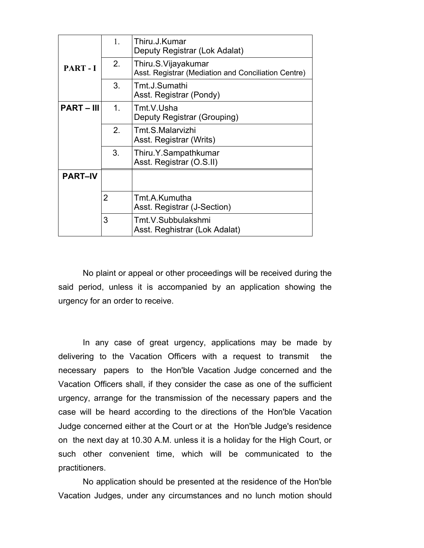|                   | 1.             | Thiru.J.Kumar<br>Deputy Registrar (Lok Adalat)                             |
|-------------------|----------------|----------------------------------------------------------------------------|
| PART-I            | 2.             | Thiru.S.Vijayakumar<br>Asst. Registrar (Mediation and Conciliation Centre) |
|                   | 3.             | Tmt.J.Sumathi<br>Asst. Registrar (Pondy)                                   |
| <b>PART – III</b> | 1 <sub>1</sub> | Tmt.V.Usha<br>Deputy Registrar (Grouping)                                  |
|                   | 2 <sub>1</sub> | Tmt.S.Malarvizhi<br>Asst. Registrar (Writs)                                |
|                   | 3.             | Thiru.Y.Sampathkumar<br>Asst. Registrar (O.S.II)                           |
| <b>PART-IV</b>    |                |                                                                            |
|                   | $\overline{2}$ | Tmt.A.Kumutha<br>Asst. Registrar (J-Section)                               |
|                   | 3              | Tmt.V.Subbulakshmi<br>Asst. Reghistrar (Lok Adalat)                        |

No plaint or appeal or other proceedings will be received during the said period, unless it is accompanied by an application showing the urgency for an order to receive.

In any case of great urgency, applications may be made by delivering to the Vacation Officers with a request to transmit the necessary papers to the Hon'ble Vacation Judge concerned and the Vacation Officers shall, if they consider the case as one of the sufficient urgency, arrange for the transmission of the necessary papers and the case will be heard according to the directions of the Hon'ble Vacation Judge concerned either at the Court or at the Hon'ble Judge's residence on the next day at 10.30 A.M. unless it is a holiday for the High Court, or such other convenient time, which will be communicated to the practitioners.

No application should be presented at the residence of the Hon'ble Vacation Judges, under any circumstances and no lunch motion should